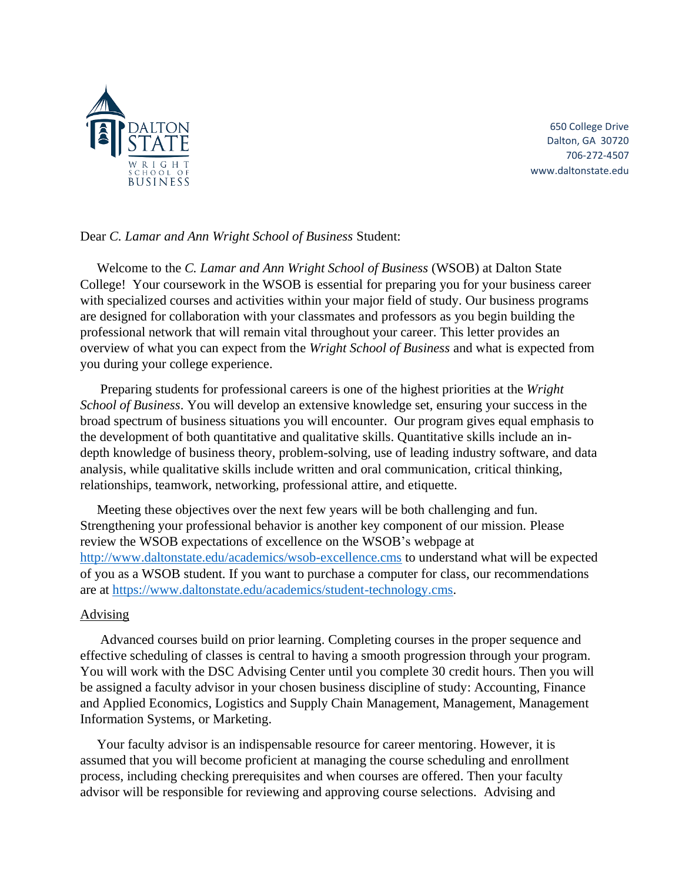

650 College Drive Dalton, GA 30720 706-272-4507 www.daltonstate.edu

## Dear *C. Lamar and Ann Wright School of Business* Student:

 Welcome to the *C. Lamar and Ann Wright School of Business* (WSOB) at Dalton State College! Your coursework in the WSOB is essential for preparing you for your business career with specialized courses and activities within your major field of study. Our business programs are designed for collaboration with your classmates and professors as you begin building the professional network that will remain vital throughout your career. This letter provides an overview of what you can expect from the *Wright School of Business* and what is expected from you during your college experience.

 Preparing students for professional careers is one of the highest priorities at the *Wright School of Business*. You will develop an extensive knowledge set, ensuring your success in the broad spectrum of business situations you will encounter. Our program gives equal emphasis to the development of both quantitative and qualitative skills. Quantitative skills include an indepth knowledge of business theory, problem-solving, use of leading industry software, and data analysis, while qualitative skills include written and oral communication, critical thinking, relationships, teamwork, networking, professional attire, and etiquette.

 Meeting these objectives over the next few years will be both challenging and fun. Strengthening your professional behavior is another key component of our mission. Please review the WSOB expectations of excellence on the WSOB's webpage at <http://www.daltonstate.edu/academics/wsob-excellence.cms> to understand what will be expected of you as a WSOB student. If you want to purchase a computer for class, our recommendations are at [https://www.daltonstate.edu/academics/student-technology.cms.](https://www.daltonstate.edu/academics/student-technology.cms)

## Advising

 Advanced courses build on prior learning. Completing courses in the proper sequence and effective scheduling of classes is central to having a smooth progression through your program. You will work with the DSC Advising Center until you complete 30 credit hours. Then you will be assigned a faculty advisor in your chosen business discipline of study: Accounting, Finance and Applied Economics, Logistics and Supply Chain Management, Management, Management Information Systems, or Marketing.

 Your faculty advisor is an indispensable resource for career mentoring. However, it is assumed that you will become proficient at managing the course scheduling and enrollment process, including checking prerequisites and when courses are offered. Then your faculty advisor will be responsible for reviewing and approving course selections. Advising and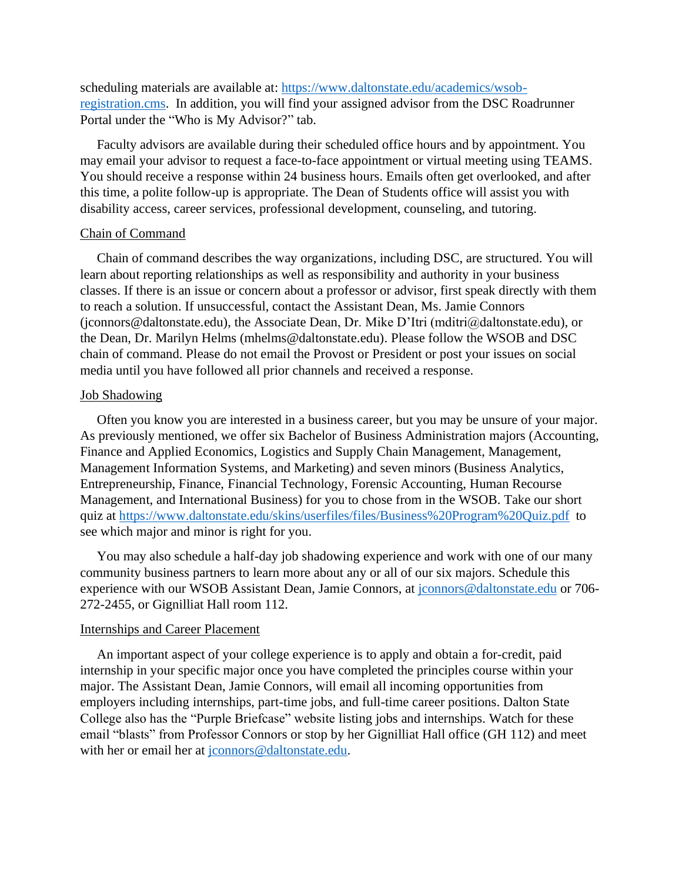scheduling materials are available at: [https://www.daltonstate.edu/academics/wsob](https://www.daltonstate.edu/academics/wsob-registration.cms)[registration.cms.](https://www.daltonstate.edu/academics/wsob-registration.cms) In addition, you will find your assigned advisor from the DSC Roadrunner Portal under the "Who is My Advisor?" tab.

 Faculty advisors are available during their scheduled office hours and by appointment. You may email your advisor to request a face-to-face appointment or virtual meeting using TEAMS. You should receive a response within 24 business hours. Emails often get overlooked, and after this time, a polite follow-up is appropriate. The Dean of Students office will assist you with disability access, career services, professional development, counseling, and tutoring.

#### Chain of Command

 Chain of command describes the way organizations, including DSC, are structured. You will learn about reporting relationships as well as responsibility and authority in your business classes. If there is an issue or concern about a professor or advisor, first speak directly with them to reach a solution. If unsuccessful, contact the Assistant Dean, Ms. Jamie Connors (jconnors@daltonstate.edu), the Associate Dean, Dr. Mike D'Itri (mditri@daltonstate.edu), or the Dean, Dr. Marilyn Helms (mhelms@daltonstate.edu). Please follow the WSOB and DSC chain of command. Please do not email the Provost or President or post your issues on social media until you have followed all prior channels and received a response.

## Job Shadowing

 Often you know you are interested in a business career, but you may be unsure of your major. As previously mentioned, we offer six Bachelor of Business Administration majors (Accounting, Finance and Applied Economics, Logistics and Supply Chain Management, Management, Management Information Systems, and Marketing) and seven minors (Business Analytics, Entrepreneurship, Finance, Financial Technology, Forensic Accounting, Human Recourse Management, and International Business) for you to chose from in the WSOB. Take our short quiz at<https://www.daltonstate.edu/skins/userfiles/files/Business%20Program%20Quiz.pdf> to see which major and minor is right for you.

 You may also schedule a half-day job shadowing experience and work with one of our many community business partners to learn more about any or all of our six majors. Schedule this experience with our WSOB Assistant Dean, Jamie Connors, at [jconnors@daltonstate.edu](mailto:jconnors@daltonstate.edu) or 706-272-2455, or Gignilliat Hall room 112.

#### Internships and Career Placement

 An important aspect of your college experience is to apply and obtain a for-credit, paid internship in your specific major once you have completed the principles course within your major. The Assistant Dean, Jamie Connors, will email all incoming opportunities from employers including internships, part-time jobs, and full-time career positions. Dalton State College also has the "Purple Briefcase" website listing jobs and internships. Watch for these email "blasts" from Professor Connors or stop by her Gignilliat Hall office (GH 112) and meet with her or email her at [jconnors@daltonstate.edu.](mailto:jconnors@daltonstate.edu)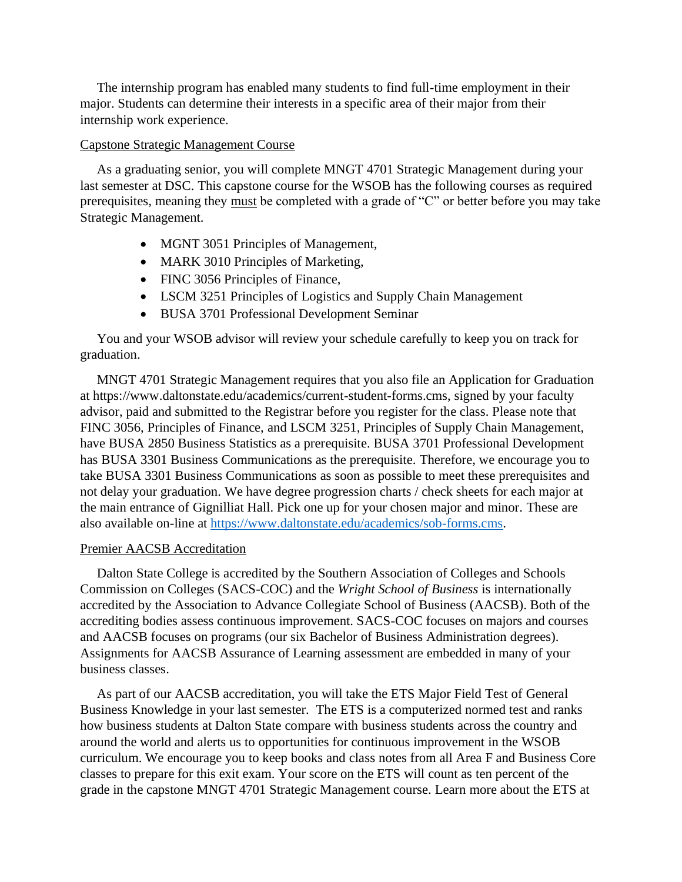The internship program has enabled many students to find full-time employment in their major. Students can determine their interests in a specific area of their major from their internship work experience.

# Capstone Strategic Management Course

 As a graduating senior, you will complete MNGT 4701 Strategic Management during your last semester at DSC. This capstone course for the WSOB has the following courses as required prerequisites, meaning they must be completed with a grade of "C" or better before you may take Strategic Management.

- MGNT 3051 Principles of Management,
- MARK 3010 Principles of Marketing,
- FINC 3056 Principles of Finance,
- LSCM 3251 Principles of Logistics and Supply Chain Management
- BUSA 3701 Professional Development Seminar

 You and your WSOB advisor will review your schedule carefully to keep you on track for graduation.

 MNGT 4701 Strategic Management requires that you also file an Application for Graduation at https://www.daltonstate.edu/academics/current-student-forms.cms, signed by your faculty advisor, paid and submitted to the Registrar before you register for the class. Please note that FINC 3056, Principles of Finance, and LSCM 3251, Principles of Supply Chain Management, have BUSA 2850 Business Statistics as a prerequisite. BUSA 3701 Professional Development has BUSA 3301 Business Communications as the prerequisite. Therefore, we encourage you to take BUSA 3301 Business Communications as soon as possible to meet these prerequisites and not delay your graduation. We have degree progression charts / check sheets for each major at the main entrance of Gignilliat Hall. Pick one up for your chosen major and minor. These are also available on-line at [https://www.daltonstate.edu/academics/sob-forms.cms.](https://www.daltonstate.edu/academics/sob-forms.cms)

# Premier AACSB Accreditation

 Dalton State College is accredited by the Southern Association of Colleges and Schools Commission on Colleges (SACS-COC) and the *Wright School of Business* is internationally accredited by the Association to Advance Collegiate School of Business (AACSB). Both of the accrediting bodies assess continuous improvement. SACS-COC focuses on majors and courses and AACSB focuses on programs (our six Bachelor of Business Administration degrees). Assignments for AACSB Assurance of Learning assessment are embedded in many of your business classes.

 As part of our AACSB accreditation, you will take the ETS Major Field Test of General Business Knowledge in your last semester. The ETS is a computerized normed test and ranks how business students at Dalton State compare with business students across the country and around the world and alerts us to opportunities for continuous improvement in the WSOB curriculum. We encourage you to keep books and class notes from all Area F and Business Core classes to prepare for this exit exam. Your score on the ETS will count as ten percent of the grade in the capstone MNGT 4701 Strategic Management course. Learn more about the ETS at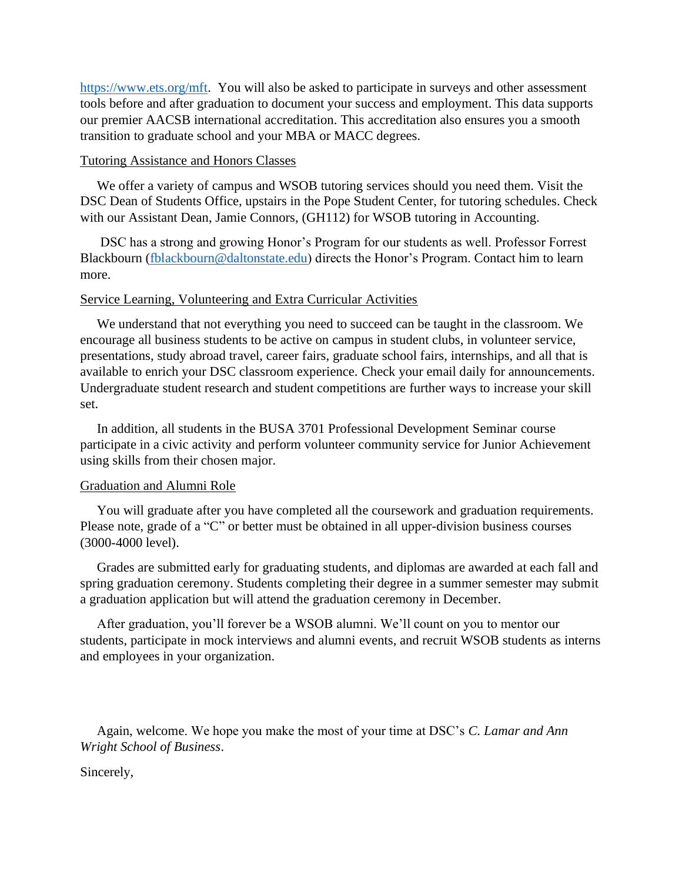[https://www.ets.org/mft.](https://www.ets.org/mft) You will also be asked to participate in surveys and other assessment tools before and after graduation to document your success and employment. This data supports our premier AACSB international accreditation. This accreditation also ensures you a smooth transition to graduate school and your MBA or MACC degrees.

# Tutoring Assistance and Honors Classes

 We offer a variety of campus and WSOB tutoring services should you need them. Visit the DSC Dean of Students Office, upstairs in the Pope Student Center, for tutoring schedules. Check with our Assistant Dean, Jamie Connors, (GH112) for WSOB tutoring in Accounting.

 DSC has a strong and growing Honor's Program for our students as well. Professor Forrest Blackbourn [\(fblackbourn@daltonstate.edu\)](mailto:fblackbourn@daltonstate.edu) directs the Honor's Program. Contact him to learn more.

# Service Learning, Volunteering and Extra Curricular Activities

 We understand that not everything you need to succeed can be taught in the classroom. We encourage all business students to be active on campus in student clubs, in volunteer service, presentations, study abroad travel, career fairs, graduate school fairs, internships, and all that is available to enrich your DSC classroom experience. Check your email daily for announcements. Undergraduate student research and student competitions are further ways to increase your skill set.

 In addition, all students in the BUSA 3701 Professional Development Seminar course participate in a civic activity and perform volunteer community service for Junior Achievement using skills from their chosen major.

# Graduation and Alumni Role

 You will graduate after you have completed all the coursework and graduation requirements. Please note, grade of a "C" or better must be obtained in all upper-division business courses (3000-4000 level).

 Grades are submitted early for graduating students, and diplomas are awarded at each fall and spring graduation ceremony. Students completing their degree in a summer semester may submit a graduation application but will attend the graduation ceremony in December.

 After graduation, you'll forever be a WSOB alumni. We'll count on you to mentor our students, participate in mock interviews and alumni events, and recruit WSOB students as interns and employees in your organization.

 Again, welcome. We hope you make the most of your time at DSC's *C. Lamar and Ann Wright School of Business*.

Sincerely,